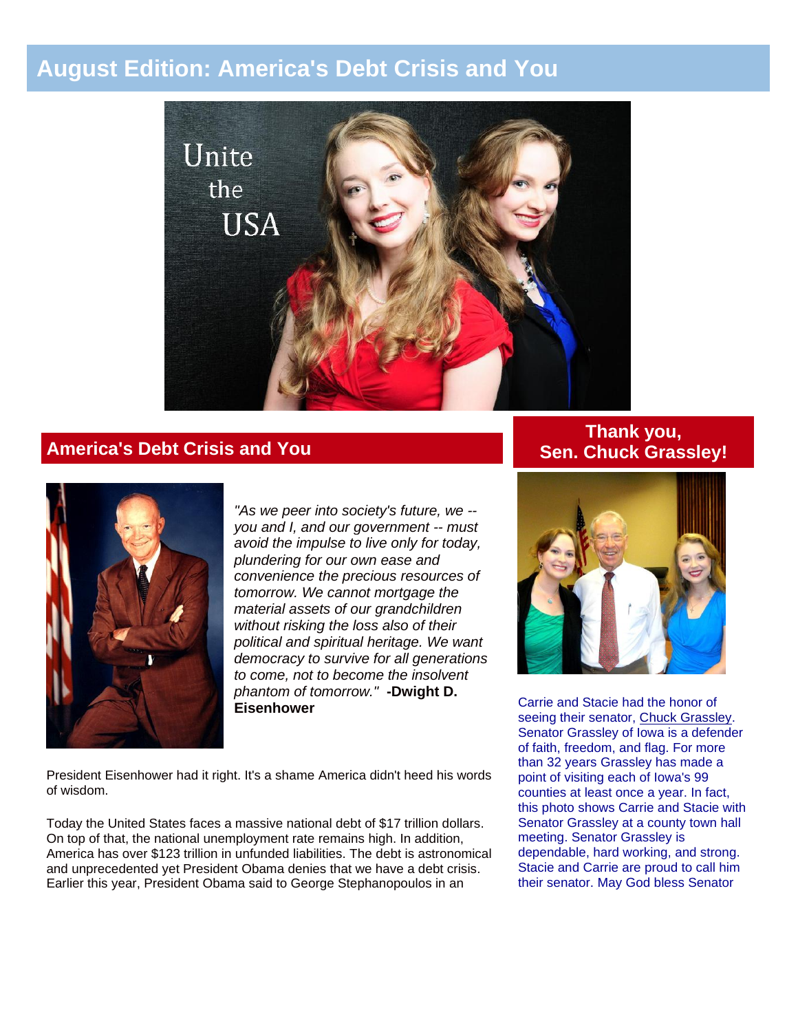# **August Edition: America's Debt Crisis and You**



## **America's Debt Crisis and You**



*"As we peer into society's future, we - you and I, and our government -- must avoid the impulse to live only for today, plundering for our own ease and convenience the precious resources of tomorrow. We cannot mortgage the material assets of our grandchildren without risking the loss also of their political and spiritual heritage. We want democracy to survive for all generations to come, not to become the insolvent phantom of tomorrow."* **-Dwight D. Eisenhower**

President Eisenhower had it right. It's a shame America didn't heed his words of wisdom.

Today the United States faces a massive national debt of \$17 trillion dollars. On top of that, the national unemployment rate remains high. In addition, America has over \$123 trillion in unfunded liabilities. The debt is astronomical and unprecedented yet President Obama denies that we have a debt crisis. Earlier this year, President Obama said to George Stephanopoulos in an

## **Thank you, Sen. Chuck Grassley!**



Carrie and Stacie had the honor of seeing their senator, [Chuck Grassley.](http://unitetheusa.org/id101.html) Senator Grassley of Iowa is a defender of faith, freedom, and flag. For more than 32 years Grassley has made a point of visiting each of Iowa's 99 counties at least once a year. In fact, this photo shows Carrie and Stacie with Senator Grassley at a county town hall meeting. Senator Grassley is dependable, hard working, and strong. Stacie and Carrie are proud to call him their senator. May God bless Senator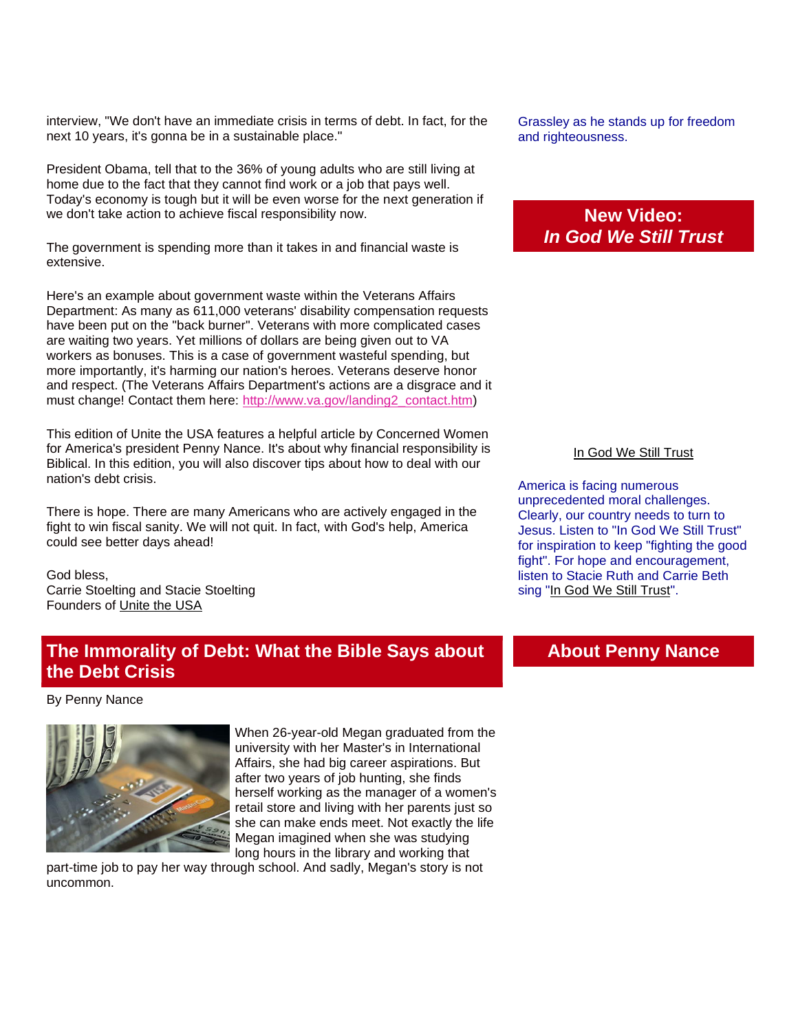interview, "We don't have an immediate crisis in terms of debt. In fact, for the next 10 years, it's gonna be in a sustainable place."

President Obama, tell that to the 36% of young adults who are still living at home due to the fact that they cannot find work or a job that pays well. Today's economy is tough but it will be even worse for the next generation if we don't take action to achieve fiscal responsibility now.

The government is spending more than it takes in and financial waste is extensive.

Here's an example about government waste within the Veterans Affairs Department: As many as 611,000 veterans' disability compensation requests have been put on the "back burner". Veterans with more complicated cases are waiting two years. Yet millions of dollars are being given out to VA workers as bonuses. This is a case of government wasteful spending, but more importantly, it's harming our nation's heroes. Veterans deserve honor and respect. (The Veterans Affairs Department's actions are a disgrace and it must change! Contact them here: [http://www.va.gov/landing2\\_contact.htm\)](http://r20.rs6.net/tn.jsp?e=001NLm6HX-5Er3gz9bZz2ZbTXfJ6_qjH-IfN3u-frYFqLjV5aPkp5_KxQtgqDntzOSD_zC5UIOWACMZxe266p0LV7pricwJXfyO-S_RloMXItFyfWgJBiXC86V5vzRs9csA)

This edition of Unite the USA features a helpful article by Concerned Women for America's president Penny Nance. It's about why financial responsibility is Biblical. In this edition, you will also discover tips about how to deal with our nation's debt crisis.

There is hope. There are many Americans who are actively engaged in the fight to win fiscal sanity. We will not quit. In fact, with God's help, America could see better days ahead!

God bless, Carrie Stoelting and Stacie Stoelting Founders of [Unite the USA](http://unitetheusa.org/index.html) 

## **The Immorality of Debt: What the Bible Says about the Debt Crisis**

By Penny Nance



When 26-year-old Megan graduated from the university with her Master's in International Affairs, she had big career aspirations. But after two years of job hunting, she finds herself working as the manager of a women's retail store and living with her parents just so she can make ends meet. Not exactly the life Megan imagined when she was studying long hours in the library and working that

part-time job to pay her way through school. And sadly, Megan's story is not uncommon.

Grassley as he stands up for freedom and righteousness.

## **New Video:** *In God We Still Trust*

#### [In God We Still Trust](http://www.youtube.com/watch?v=AJpSmePSi3c)

America is facing numerous unprecedented moral challenges. Clearly, our country needs to turn to Jesus. Listen to "In God We Still Trust" for inspiration to keep "fighting the good fight". For hope and encouragement, listen to Stacie Ruth and Carrie Beth sing ["In God We Still Trust"](http://www.youtube.com/watch?v=AJpSmePSi3c).

### **About Penny Nance**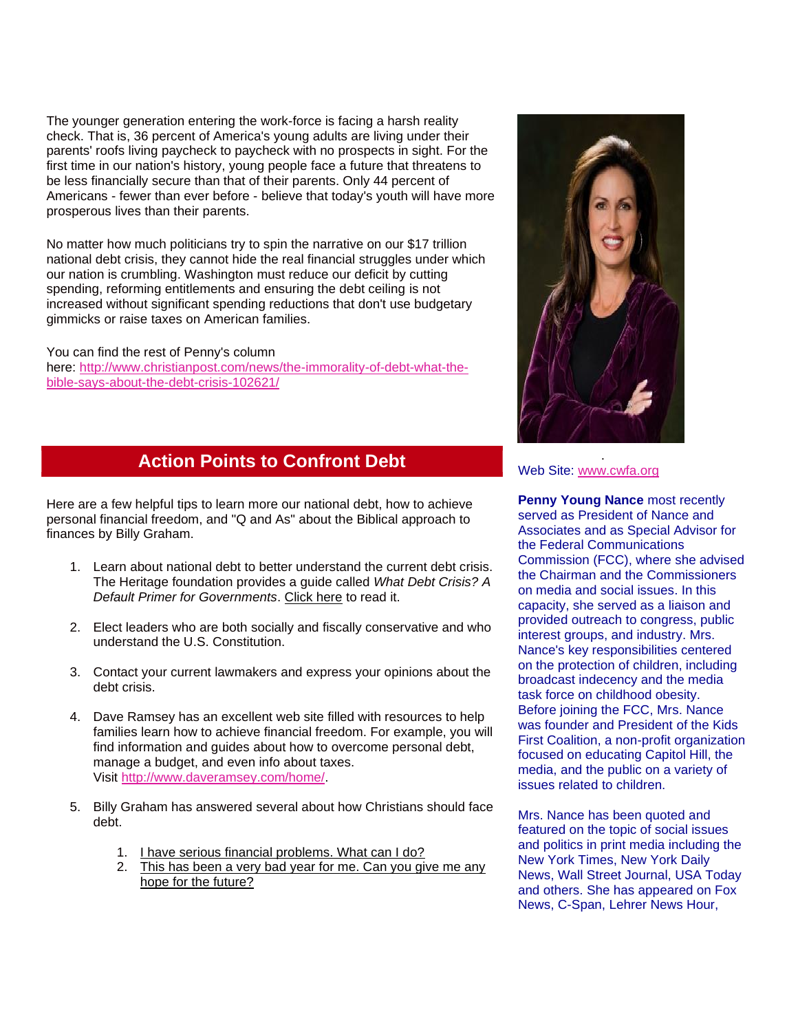The younger generation entering the work-force is facing a harsh reality check. That is, 36 percent of America's young adults are living under their parents' roofs living paycheck to paycheck with no prospects in sight. For the first time in our nation's history, young people face a future that threatens to be less financially secure than that of their parents. Only 44 percent of Americans - fewer than ever before - believe that today's youth will have more prosperous lives than their parents.

No matter how much politicians try to spin the narrative on our \$17 trillion national debt crisis, they cannot hide the real financial struggles under which our nation is crumbling. Washington must reduce our deficit by cutting spending, reforming entitlements and ensuring the debt ceiling is not increased without significant spending reductions that don't use budgetary gimmicks or raise taxes on American families.

You can find the rest of Penny's column here: [http://www.christianpost.com/news/the-immorality-of-debt-what-the](http://r20.rs6.net/tn.jsp?e=001NLm6HX-5Er3gz9bZz2ZbTXfJ6_qjH-IfN3u-frYFqLjV5aPkp5_KxQtgqDntzOSD_zC5UIOWACMIpwKYhi_8RruTIbt61biwqGvhQMpGIUHlpoeIgMRSn21O_meLmiIeQ1psDIA0o9imC1zkF8ET1ogCKchxsTgalRagSnx-rQ7sCj_K8XLHwX2hGWk7BOteQ-CZDo23hbjT4yfht_yEWWitDrXqbEZW)[bible-says-about-the-debt-crisis-102621/](http://r20.rs6.net/tn.jsp?e=001NLm6HX-5Er3gz9bZz2ZbTXfJ6_qjH-IfN3u-frYFqLjV5aPkp5_KxQtgqDntzOSD_zC5UIOWACMIpwKYhi_8RruTIbt61biwqGvhQMpGIUHlpoeIgMRSn21O_meLmiIeQ1psDIA0o9imC1zkF8ET1ogCKchxsTgalRagSnx-rQ7sCj_K8XLHwX2hGWk7BOteQ-CZDo23hbjT4yfht_yEWWitDrXqbEZW)

## **Action Points to Confront Debt**

Here are a few helpful tips to learn more our national debt, how to achieve personal financial freedom, and "Q and As" about the Biblical approach to finances by Billy Graham.

- 1. Learn about national debt to better understand the current debt crisis. The Heritage foundation provides a guide called *What Debt Crisis? A Default Primer for Governments*. [Click here](http://www.heritage.org/research/reports/2012/07/what-debt-crisis-a-default-primer-for-governments) to read it.
- 2. Elect leaders who are both socially and fiscally conservative and who understand the U.S. Constitution.
- 3. Contact your current lawmakers and express your opinions about the debt crisis.
- 4. Dave Ramsey has an excellent web site filled with resources to help families learn how to achieve financial freedom. For example, you will find information and guides about how to overcome personal debt, manage a budget, and even info about taxes. Visit [http://www.daveramsey.com/home/.](http://r20.rs6.net/tn.jsp?e=001NLm6HX-5Er3gz9bZz2ZbTXfJ6_qjH-IfN3u-frYFqLjV5aPkp5_KxQtgqDntzOSD_zC5UIOWACOpIoIBhi3ltmtCh9YX_hClnO_4A-CAUGP0VnY1Su9L3w==)
- 5. Billy Graham has answered several about how Christians should face debt.
	- 1. [I have serious financial problems. What can I do?](http://www.billygraham.org/articlepage.asp?articleid=1982)
	- 2. This has been a very bad year for me. Can you give me any [hope for the future?](http://www.billygraham.org/articlepage.asp?articleid=4592)



#### Web Site: [www.cwfa.org](http://r20.rs6.net/tn.jsp?e=001NLm6HX-5Er3gz9bZz2ZbTXfJ6_qjH-IfN3u-frYFqLjV5aPkp5_KxQtgqDntzOSD_zC5UIOWACNSlUkOrwgKxCxpVls8An1M)

**Penny Young Nance most recently** served as President of Nance and Associates and as Special Advisor for the Federal Communications Commission (FCC), where she advised the Chairman and the Commissioners on media and social issues. In this capacity, she served as a liaison and provided outreach to congress, public interest groups, and industry. Mrs. Nance's key responsibilities centered on the protection of children, including broadcast indecency and the media task force on childhood obesity. Before joining the FCC, Mrs. Nance was founder and President of the Kids First Coalition, a non-profit organization focused on educating Capitol Hill, the media, and the public on a variety of issues related to children.

Mrs. Nance has been quoted and featured on the topic of social issues and politics in print media including the New York Times, New York Daily News, Wall Street Journal, USA Today and others. She has appeared on Fox News, C-Span, Lehrer News Hour,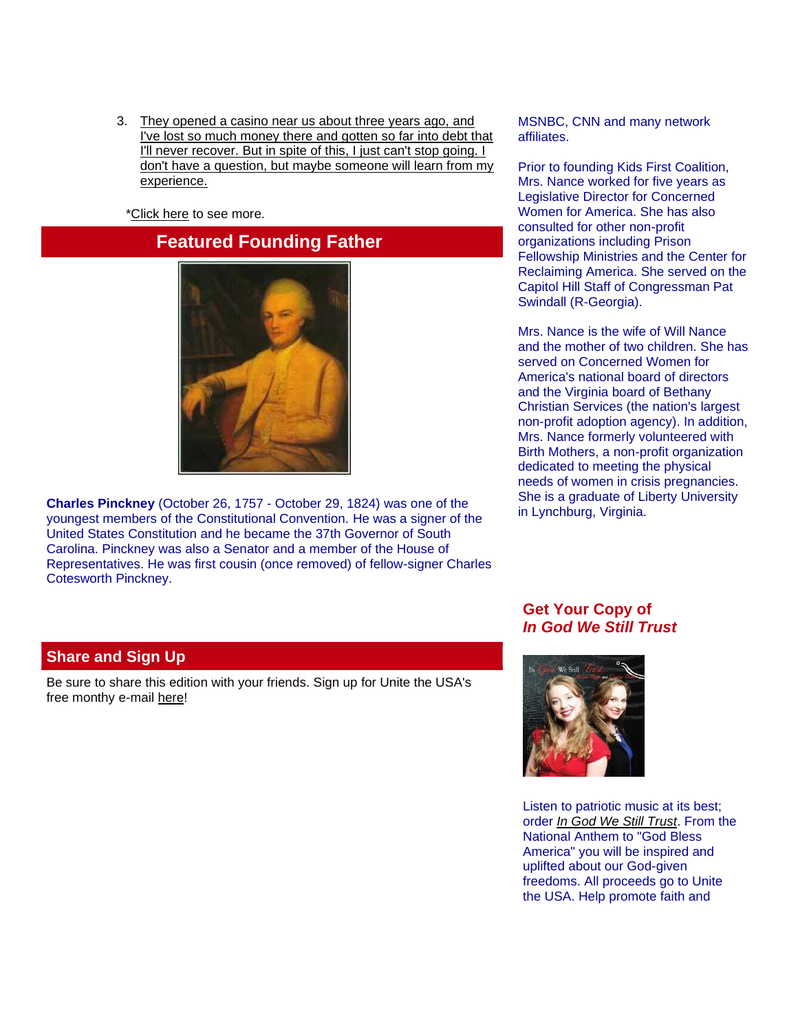3. [They opened a casino near us about three years ago, and](http://www.billygraham.org/articlepage.asp?articleid=5593)  [I've lost so much money there and gotten so far into debt that](http://www.billygraham.org/articlepage.asp?articleid=5593)  [I'll never recover. But in spite of this, I just can't stop going. I](http://www.billygraham.org/articlepage.asp?articleid=5593)  [don't have a question, but maybe someone will learn from my](http://www.billygraham.org/articlepage.asp?articleid=5593)  [experience.](http://www.billygraham.org/articlepage.asp?articleid=5593)

[\\*Click here](http://www.billygraham.org/spiritualgrowth_topics.asp?tid=46) to see more.

## **Featured Founding Father**



**Charles Pinckney** (October 26, 1757 - October 29, 1824) was one of the youngest members of the Constitutional Convention. He was a signer of the United States Constitution and he became the 37th Governor of South Carolina. Pinckney was also a Senator and a member of the House of Representatives. He was first cousin (once removed) of fellow-signer Charles Cotesworth Pinckney.

MSNBC, CNN and many network affiliates.

Prior to founding Kids First Coalition, Mrs. Nance worked for five years as Legislative Director for Concerned Women for America. She has also consulted for other non-profit organizations including Prison Fellowship Ministries and the Center for Reclaiming America. She served on the Capitol Hill Staff of Congressman Pat Swindall (R-Georgia).

Mrs. Nance is the wife of Will Nance and the mother of two children. She has served on Concerned Women for America's national board of directors and the Virginia board of Bethany Christian Services (the nation's largest non-profit adoption agency). In addition, Mrs. Nance formerly volunteered with Birth Mothers, a non-profit organization dedicated to meeting the physical needs of women in crisis pregnancies. She is a graduate of Liberty University in Lynchburg, Virginia.

#### **Share and Sign Up**

Be sure to share this edition with your friends. Sign up for Unite the USA's free monthy e-mail [here!](http://unitetheusa.org/id2.html)

### **Get Your Copy of** *In God We Still Trust*



Listen to patriotic music at its best; order *[In God We Still Trust](http://unitetheusa.org/id56.html)*. From the National Anthem to "God Bless America" you will be inspired and uplifted about our God-given freedoms. All proceeds go to Unite the USA. Help promote faith and